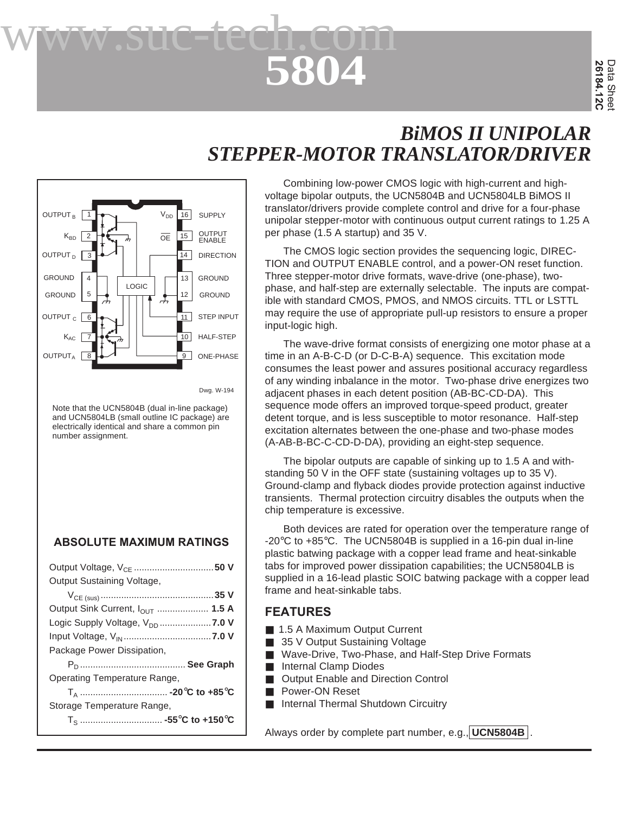# **5804** www.suc-tech.com

# *BiMOS II UNIPOLAR STEPPER-MOTOR TRANSLATOR/DRIVER*



Note that the UCN5804B (dual in-line package) and UCN5804LB (small outline IC package) are electrically identical and share a common pin number assignment.

#### **ABSOLUTE MAXIMUM RATINGS**

| Output Voltage, V <sub>CE</sub> 50 V               |
|----------------------------------------------------|
| Output Sustaining Voltage,                         |
|                                                    |
| Output Sink Current, $I_{\text{OUT}}$ 1.5 A        |
| Logic Supply Voltage, V <sub>DD</sub> <b>7.0 V</b> |
|                                                    |
| Package Power Dissipation,                         |
|                                                    |
| Operating Temperature Range,                       |
|                                                    |
| Storage Temperature Range,                         |
|                                                    |

Combining low-power CMOS logic with high-current and highvoltage bipolar outputs, the UCN5804B and UCN5804LB BiMOS II translator/drivers provide complete control and drive for a four-phase unipolar stepper-motor with continuous output current ratings to 1.25 A per phase (1.5 A startup) and 35 V.

The CMOS logic section provides the sequencing logic, DIREC-TION and OUTPUT ENABLE control, and a power-ON reset function. Three stepper-motor drive formats, wave-drive (one-phase), twophase, and half-step are externally selectable. The inputs are compatible with standard CMOS, PMOS, and NMOS circuits. TTL or LSTTL may require the use of appropriate pull-up resistors to ensure a proper input-logic high.

The wave-drive format consists of energizing one motor phase at a time in an A-B-C-D (or D-C-B-A) sequence. This excitation mode consumes the least power and assures positional accuracy regardless of any winding inbalance in the motor. Two-phase drive energizes two adjacent phases in each detent position (AB-BC-CD-DA). This sequence mode offers an improved torque-speed product, greater detent torque, and is less susceptible to motor resonance. Half-step excitation alternates between the one-phase and two-phase modes (A-AB-B-BC-C-CD-D-DA), providing an eight-step sequence.

The bipolar outputs are capable of sinking up to 1.5 A and withstanding 50 V in the OFF state (sustaining voltages up to 35 V). Ground-clamp and flyback diodes provide protection against inductive transients. Thermal protection circuitry disables the outputs when the chip temperature is excessive.

Both devices are rated for operation over the temperature range of -20°C to +85°C. The UCN5804B is supplied in a 16-pin dual in-line plastic batwing package with a copper lead frame and heat-sinkable tabs for improved power dissipation capabilities; the UCN5804LB is supplied in a 16-lead plastic SOIC batwing package with a copper lead frame and heat-sinkable tabs.

#### **FEATURES**

- 1.5 A Maximum Output Current
- 35 V Output Sustaining Voltage
- Wave-Drive, Two-Phase, and Half-Step Drive Formats
- Internal Clamp Diodes
- **Output Enable and Direction Control**
- Power-ON Reset
- Internal Thermal Shutdown Circuitry

Always order by complete part number, e.g., **UCN5804B** .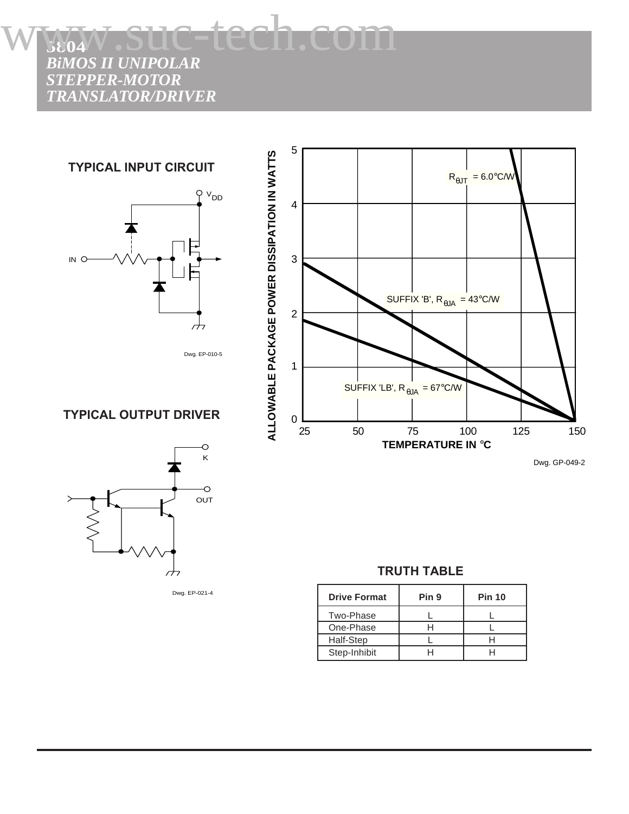**TYPICAL INPUT CIRCUIT**



Dwg. EP-010-5

**TYPICAL OUTPUT DRIVER**



Dwg. EP-021-4



#### **TRUTH TABLE**

| <b>Drive Format</b> | Pin 9 | <b>Pin 10</b> |
|---------------------|-------|---------------|
| Two-Phase           |       |               |
| One-Phase           |       |               |
| Half-Step           |       |               |
| Step-Inhibit        |       |               |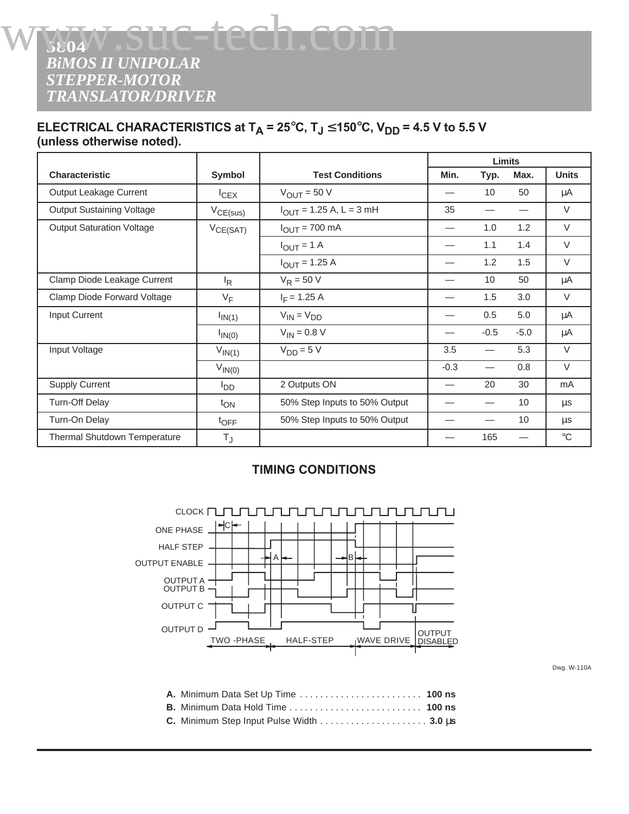#### **ELECTRICAL CHARACTERISTICS at T<sub>A</sub> = 25°C, T<sub>J</sub> ≤ 150°C, V<sub>DD</sub> = 4.5 V to 5.5 V (unless otherwise noted).**

|                                  |                  |                                     | Limits                   |        |                          |              |
|----------------------------------|------------------|-------------------------------------|--------------------------|--------|--------------------------|--------------|
| <b>Characteristic</b>            | Symbol           | <b>Test Conditions</b>              | Min.                     | Typ.   | Max.                     | <b>Units</b> |
| Output Leakage Current           | ICEX             | $V_{\text{OUT}}$ = 50 V             |                          | 10     | 50                       | μA           |
| <b>Output Sustaining Voltage</b> | $V_{CE(sus)}$    | $I_{\text{OUT}}$ = 1.25 A, L = 3 mH | 35                       |        | $\overline{\phantom{0}}$ | $\vee$       |
| <b>Output Saturation Voltage</b> | $V_{CE(SAT)}$    | $I_{OUT} = 700$ mA                  |                          | 1.0    | 1.2                      | $\vee$       |
|                                  |                  | $I_{OUT} = 1 A$                     | $\overline{\phantom{0}}$ | 1.1    | 1.4                      | $\vee$       |
|                                  |                  | $I_{OUT} = 1.25 A$                  |                          | 1.2    | 1.5                      | $\vee$       |
| Clamp Diode Leakage Current      | <sup>I</sup> R   | $V_R = 50 V$                        | —                        | 10     | 50                       | μA           |
| Clamp Diode Forward Voltage      | $V_F$            | $I_F$ = 1.25 A                      | —                        | 1.5    | 3.0                      | $\vee$       |
| Input Current                    | $I_{IN(1)}$      | $V_{IN} = V_{DD}$                   |                          | 0.5    | 5.0                      | μA           |
|                                  | $I_{IN(0)}$      | $V_{IN} = 0.8 V$                    | $\overline{\phantom{0}}$ | $-0.5$ | $-5.0$                   | μA           |
| Input Voltage                    | $V_{IN(1)}$      | $V_{DD} = 5 V$                      | 3.5                      |        | 5.3                      | $\vee$       |
|                                  | $V_{IN(0)}$      |                                     | $-0.3$                   |        | 0.8                      | $\vee$       |
| <b>Supply Current</b>            | $I_{DD}$         | 2 Outputs ON                        | $\overline{\phantom{0}}$ | 20     | 30                       | mA           |
| <b>Turn-Off Delay</b>            | $t_{ON}$         | 50% Step Inputs to 50% Output       |                          |        | 10                       | μs           |
| Turn-On Delay                    | $t_{\text{OFF}}$ | 50% Step Inputs to 50% Output       |                          |        | 10                       | μs           |
| Thermal Shutdown Temperature     | $T_{\rm J}$      |                                     |                          | 165    |                          | $^{\circ}C$  |

#### **TIMING CONDITIONS**



Dwg. W-110A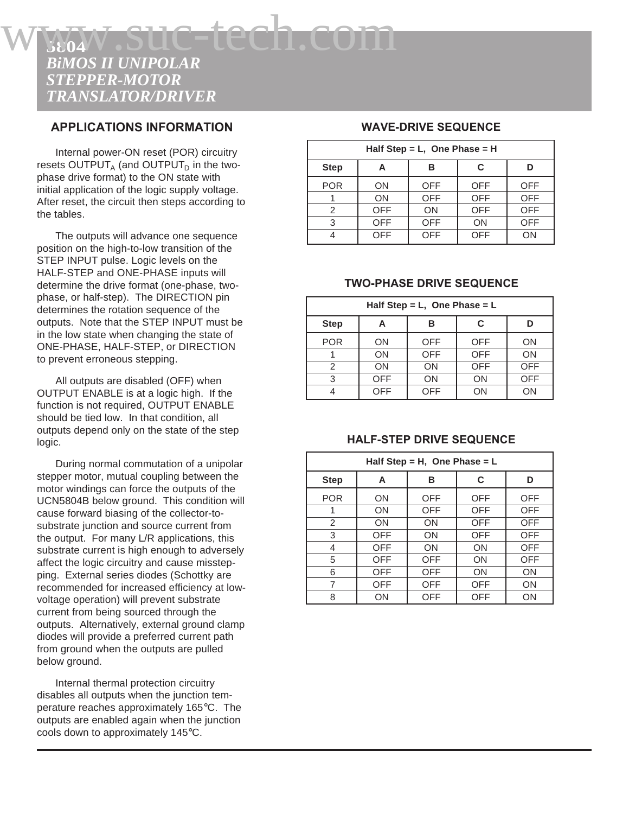#### **APPLICATIONS INFORMATION**

Internal power-ON reset (POR) circuitry resets OUTPUT<sub>A</sub> (and OUTPUT<sub>D</sub> in the twophase drive format) to the ON state with initial application of the logic supply voltage. After reset, the circuit then steps according to the tables.

The outputs will advance one sequence position on the high-to-low transition of the STEP INPUT pulse. Logic levels on the HALF-STEP and ONE-PHASE inputs will determine the drive format (one-phase, twophase, or half-step). The DIRECTION pin determines the rotation sequence of the outputs. Note that the STEP INPUT must be in the low state when changing the state of ONE-PHASE, HALF-STEP, or DIRECTION to prevent erroneous stepping.

All outputs are disabled (OFF) when OUTPUT ENABLE is at a logic high. If the function is not required, OUTPUT ENABLE should be tied low. In that condition, all outputs depend only on the state of the step logic.

During normal commutation of a unipolar stepper motor, mutual coupling between the motor windings can force the outputs of the UCN5804B below ground. This condition will cause forward biasing of the collector-tosubstrate junction and source current from the output. For many L/R applications, this substrate current is high enough to adversely affect the logic circuitry and cause misstepping. External series diodes (Schottky are recommended for increased efficiency at lowvoltage operation) will prevent substrate current from being sourced through the outputs. Alternatively, external ground clamp diodes will provide a preferred current path from ground when the outputs are pulled below ground.

Internal thermal protection circuitry disables all outputs when the junction temperature reaches approximately 165°C. The outputs are enabled again when the junction cools down to approximately 145°C.

#### **WAVE-DRIVE SEQUENCE**

| Half Step = L, One Phase = H |            |            |            |            |
|------------------------------|------------|------------|------------|------------|
| <b>Step</b>                  | C<br>в     |            |            |            |
| <b>POR</b>                   | <b>ON</b>  | <b>OFF</b> | <b>OFF</b> | <b>OFF</b> |
|                              | <b>ON</b>  | <b>OFF</b> | <b>OFF</b> | <b>OFF</b> |
| 2                            | <b>OFF</b> | ON         | <b>OFF</b> | <b>OFF</b> |
| 3                            | <b>OFF</b> | <b>OFF</b> | ON         | <b>OFF</b> |
|                              | <b>OFF</b> | <b>OFF</b> | <b>OFF</b> | ON         |

#### **TWO-PHASE DRIVE SEQUENCE**

| Half Step = $L$ , One Phase = $L$ |            |            |            |            |
|-----------------------------------|------------|------------|------------|------------|
| <b>Step</b>                       |            | в          | C          |            |
| <b>POR</b>                        | ON         | <b>OFF</b> | <b>OFF</b> | ON         |
|                                   | ON         | <b>OFF</b> | <b>OFF</b> | ON         |
| 2                                 | ON         | <b>ON</b>  | <b>OFF</b> | <b>OFF</b> |
| 3                                 | <b>OFF</b> | ON         | ON         | <b>OFF</b> |
|                                   | <b>OFF</b> | <b>OFF</b> | ΟN         | ΟN         |

#### **HALF-STEP DRIVE SEQUENCE**

| Half Step = H, One Phase = $L$ |     |           |            |            |  |
|--------------------------------|-----|-----------|------------|------------|--|
| <b>Step</b>                    | А   | в         | C          | D          |  |
| <b>POR</b>                     | ON  | OFF       | <b>OFF</b> | <b>OFF</b> |  |
|                                | ON  | OFF       | <b>OFF</b> | <b>OFF</b> |  |
| 2                              | ON  | ON        | <b>OFF</b> | <b>OFF</b> |  |
| 3                              | OFF | <b>ON</b> | <b>OFF</b> | <b>OFF</b> |  |
| 4                              | OFF | ON        | ON         | <b>OFF</b> |  |
| 5                              | OFF | OFF       | ON         | OFF        |  |
| 6                              | OFF | OFF       | ON         | ON         |  |
| 7                              | OFF | OFF       | <b>OFF</b> | ON         |  |
| 8                              | ON  | OFF       | OFF        | ON         |  |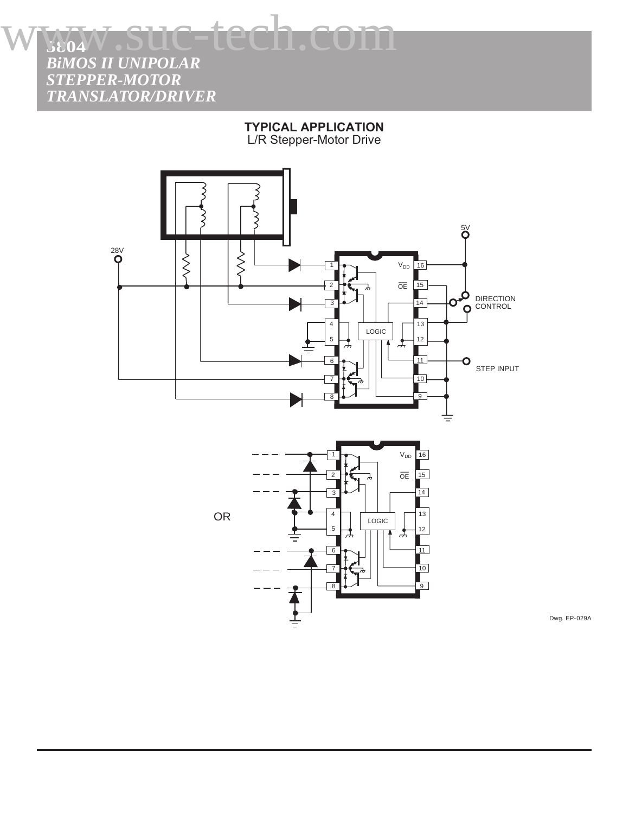**TYPICAL APPLICATION** L/R Stepper-Motor Drive



OR

 $\overline{\mathsf{OE}}$ 15 2 14 3 13 4 LOGIC 5 12 I 11 6  $10$ 7  $\begin{array}{c} 8 \rightarrow \rightarrow \end{array}$ 

Dwg. EP-029A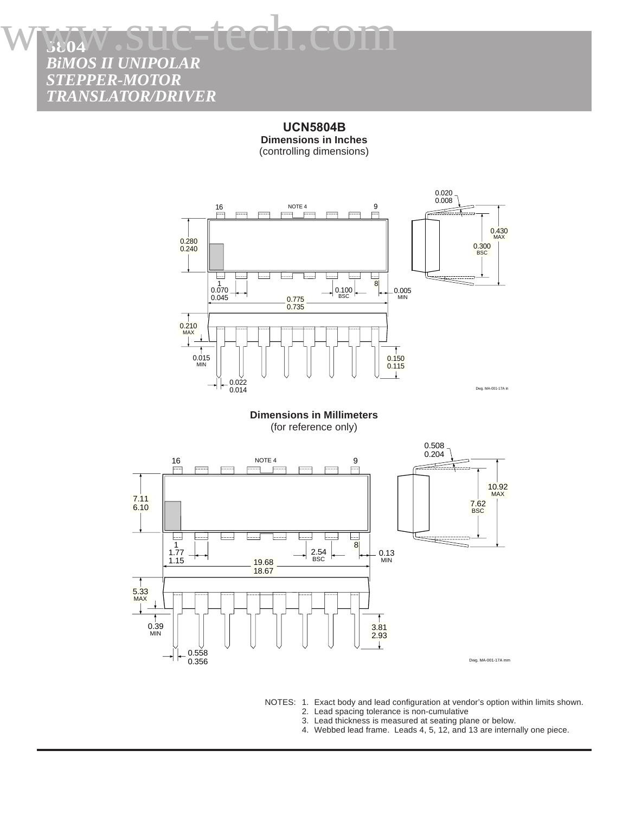www.suc-tech.com

*BiMOS II UNIPOLAR STEPPER-MOTOR TRANSLATOR/DRIVER*

**5804**

**UCN5804B Dimensions in Inches** (controlling dimensions)



**Dimensions in Millimeters** (for reference only)



NOTES: 1. Exact body and lead configuration at vendor's option within limits shown. 2. Lead spacing tolerance is non-cumulative

- 3. Lead thickness is measured at seating plane or below.
- 4. Webbed lead frame. Leads 4, 5, 12, and 13 are internally one piece.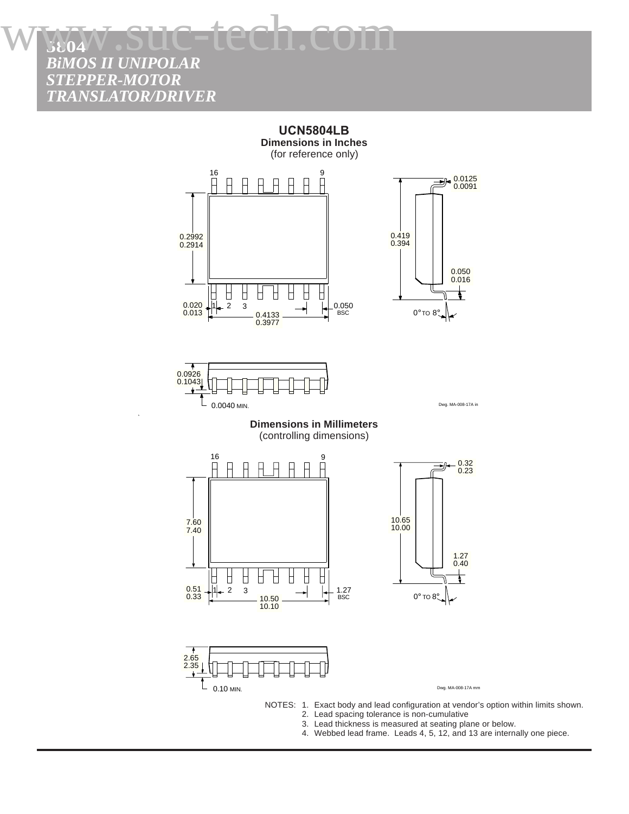www.suc-tech.com

*BiMOS II UNIPOLAR STEPPER-MOTOR TRANSLATOR/DRIVER*

**5804**



4. Webbed lead frame. Leads 4, 5, 12, and 13 are internally one piece.